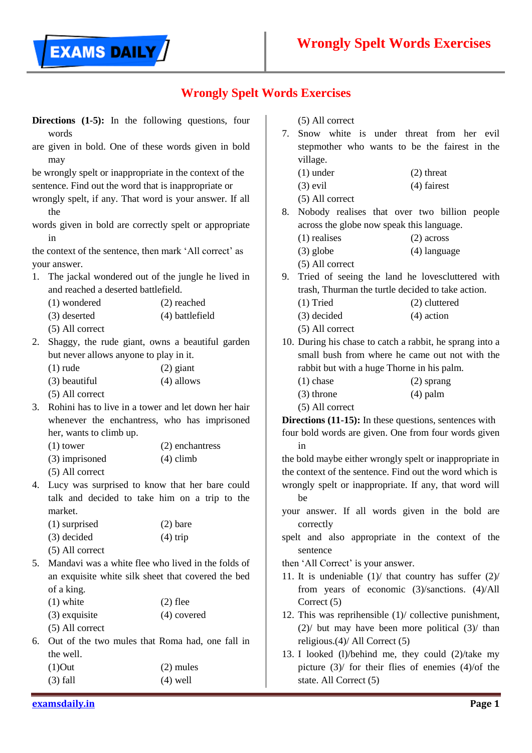**EXAMS DAILY** 

|                                                         | Directions (1-5): In the following questions, four                      |                 |                                                                                                                       | $(5)$ All correct                              |                                                          |  |
|---------------------------------------------------------|-------------------------------------------------------------------------|-----------------|-----------------------------------------------------------------------------------------------------------------------|------------------------------------------------|----------------------------------------------------------|--|
|                                                         | words                                                                   |                 |                                                                                                                       | Snow white is under threat from her evil<br>7. |                                                          |  |
|                                                         | are given in bold. One of these words given in bold<br>may              |                 |                                                                                                                       | village.                                       | stepmother who wants to be the fairest in the            |  |
|                                                         | be wrongly spelt or inappropriate in the context of the                 |                 |                                                                                                                       | $(1)$ under                                    | $(2)$ threat                                             |  |
|                                                         | sentence. Find out the word that is inappropriate or                    |                 |                                                                                                                       | $(3)$ evil                                     | (4) fairest                                              |  |
|                                                         | wrongly spelt, if any. That word is your answer. If all                 |                 |                                                                                                                       | $(5)$ All correct                              |                                                          |  |
|                                                         | the                                                                     |                 | 8.                                                                                                                    |                                                | Nobody realises that over two billion people             |  |
|                                                         | words given in bold are correctly spelt or appropriate                  |                 |                                                                                                                       | across the globe now speak this language.      |                                                          |  |
|                                                         | in                                                                      |                 |                                                                                                                       | $(1)$ realises                                 | $(2)$ across                                             |  |
|                                                         | the context of the sentence, then mark 'All correct' as                 |                 |                                                                                                                       | $(3)$ globe                                    | $(4)$ language                                           |  |
|                                                         | your answer.                                                            |                 |                                                                                                                       | $(5)$ All correct                              |                                                          |  |
| The jackal wondered out of the jungle he lived in<br>1. |                                                                         |                 | 9.                                                                                                                    |                                                | Tried of seeing the land he lovescluttered with          |  |
|                                                         | and reached a deserted battlefield.                                     |                 | trash, Thurman the turtle decided to take action.                                                                     |                                                |                                                          |  |
|                                                         | (1) wondered                                                            | $(2)$ reached   |                                                                                                                       | $(1)$ Tried                                    | (2) cluttered                                            |  |
|                                                         | (3) deserted                                                            | (4) battlefield |                                                                                                                       | $(3)$ decided                                  | $(4)$ action                                             |  |
|                                                         | $(5)$ All correct                                                       |                 |                                                                                                                       | $(5)$ All correct                              |                                                          |  |
| 2.                                                      | Shaggy, the rude giant, owns a beautiful garden                         |                 | 10. During his chase to catch a rabbit, he sprang into a                                                              |                                                |                                                          |  |
|                                                         | but never allows anyone to play in it.                                  |                 | small bush from where he came out not with the<br>rabbit but with a huge Thorne in his palm.                          |                                                |                                                          |  |
|                                                         | $(1)$ rude                                                              | $(2)$ giant     |                                                                                                                       |                                                |                                                          |  |
|                                                         | (3) beautiful                                                           | $(4)$ allows    |                                                                                                                       | $(1)$ chase                                    | $(2)$ sprang                                             |  |
|                                                         | (5) All correct                                                         |                 |                                                                                                                       | $(3)$ throne                                   | $(4)$ palm                                               |  |
| 3.                                                      | Rohini has to live in a tower and let down her hair                     |                 |                                                                                                                       | (5) All correct                                |                                                          |  |
|                                                         | whenever the enchantress, who has imprisoned<br>her, wants to climb up. |                 | <b>Directions (11-15):</b> In these questions, sentences with<br>four bold words are given. One from four words given |                                                |                                                          |  |
|                                                         |                                                                         |                 |                                                                                                                       |                                                |                                                          |  |
|                                                         | $(1)$ tower                                                             | (2) enchantress |                                                                                                                       | in                                             |                                                          |  |
|                                                         | (3) imprisoned                                                          | $(4)$ climb     |                                                                                                                       |                                                | the bold maybe either wrongly spelt or inappropriate in  |  |
|                                                         | (5) All correct                                                         |                 |                                                                                                                       |                                                | the context of the sentence. Find out the word which is  |  |
| 4.                                                      | Lucy was surprised to know that her bare could                          |                 |                                                                                                                       |                                                | wrongly spelt or inappropriate. If any, that word will   |  |
|                                                         | talk and decided to take him on a trip to the                           |                 |                                                                                                                       | be                                             |                                                          |  |
|                                                         | market.                                                                 |                 |                                                                                                                       |                                                | your answer. If all words given in the bold are          |  |
|                                                         | $(1)$ surprised                                                         | $(2)$ bare      |                                                                                                                       | correctly                                      |                                                          |  |
|                                                         | (3) decided                                                             | $(4)$ trip      |                                                                                                                       |                                                | spelt and also appropriate in the context of the         |  |
|                                                         | (5) All correct                                                         |                 |                                                                                                                       | sentence                                       |                                                          |  |
| 5.                                                      | Mandavi was a white flee who lived in the folds of                      |                 |                                                                                                                       | then 'All Correct' is your answer.             |                                                          |  |
|                                                         | an exquisite white silk sheet that covered the bed                      |                 |                                                                                                                       |                                                | 11. It is undeniable $(1)$ that country has suffer $(2)$ |  |
|                                                         | of a king.                                                              |                 |                                                                                                                       |                                                | from years of economic $(3)/$ sanctions. $(4)/$ All      |  |
|                                                         | $(1)$ white                                                             | $(2)$ flee      |                                                                                                                       | Correct $(5)$                                  |                                                          |  |
|                                                         | $(3)$ exquisite                                                         | $(4)$ covered   |                                                                                                                       |                                                | 12. This was reprihensible $(1)$ collective punishment,  |  |
|                                                         | (5) All correct                                                         |                 |                                                                                                                       |                                                | $(2)$ but may have been more political $(3)$ than        |  |
| 6.                                                      | Out of the two mules that Roma had, one fall in                         |                 |                                                                                                                       | religious.(4)/ All Correct (5)                 |                                                          |  |
|                                                         | the well.                                                               |                 |                                                                                                                       |                                                | 13. I looked (l)/behind me, they could (2)/take my       |  |
|                                                         | $(1)$ Out                                                               | $(2)$ mules     |                                                                                                                       |                                                | picture $(3)$ / for their flies of enemies $(4)$ /of the |  |
|                                                         | $(3)$ fall                                                              | $(4)$ well      |                                                                                                                       | state. All Correct (5)                         |                                                          |  |
|                                                         |                                                                         |                 |                                                                                                                       |                                                |                                                          |  |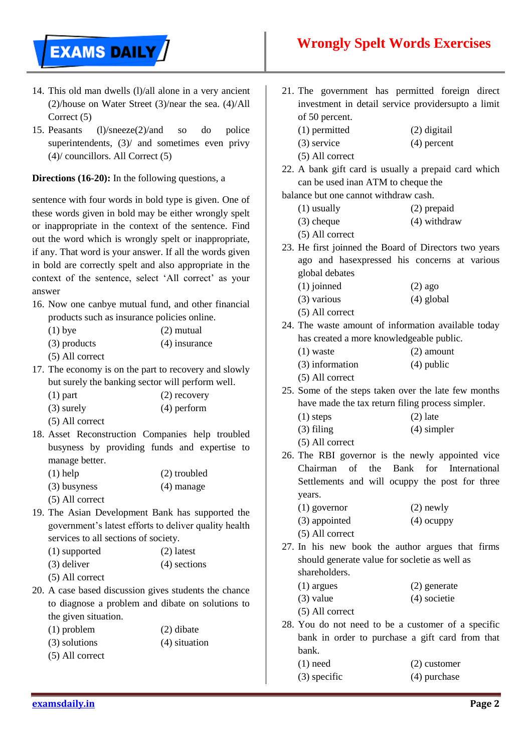

- 14. This old man dwells (l)/all alone in a very ancient (2)/house on Water Street (3)/near the sea. (4)/All Correct (5)
- 15. Peasants (l)/sneeze(2)/and so do police superintendents,  $(3)$  and sometimes even privy (4)/ councillors. All Correct (5)

**Directions (16-20):** In the following questions, a

sentence with four words in bold type is given. One of these words given in bold may be either wrongly spelt or inappropriate in the context of the sentence. Find out the word which is wrongly spelt or inappropriate, if any. That word is your answer. If all the words given in bold are correctly spelt and also appropriate in the context of the sentence, select 'All correct' as your answer

16. Now one canbye mutual fund, and other financial products such as insurance policies online.

| $(1)$ bye         | $(2)$ mutual    |
|-------------------|-----------------|
| $(3)$ products    | $(4)$ insurance |
| $(5)$ All correct |                 |

- 17. The economy is on the part to recovery and slowly but surely the banking sector will perform well.
	- (1) part (2) recovery
	- (3) surely (4) perform
	- (5) All correct
- 18. Asset Reconstruction Companies help troubled busyness by providing funds and expertise to manage better.
	- (1) help (2) troubled
	- (3) busyness (4) manage
	- (5) All correct
- 19. The Asian Development Bank has supported the government"s latest efforts to deliver quality health services to all sections of society.

| (1) supported | $(2)$ latest   |
|---------------|----------------|
| $(3)$ deliver | $(4)$ sections |

- (5) All correct
- 20. A case based discussion gives students the chance to diagnose a problem and dibate on solutions to the given situation.
	- (1) problem (2) dibate (3) solutions (4) situation
	- (5) All correct
- 21. The government has permitted foreign direct investment in detail service providersupto a limit of 50 percent.
	- (1) permitted (2) digitail
	- (3) service (4) percent
	- (5) All correct
- 22. A bank gift card is usually a prepaid card which can be used inan ATM to cheque the

balance but one cannot withdraw cash.

- (1) usually (2) prepaid
- (3) cheque (4) withdraw
- (5) All correct
- 23. He first joinned the Board of Directors two years ago and hasexpressed his concerns at various global debates
	- $(1)$  joinned  $(2)$  ago
	- (3) various (4) global
	- (5) All correct
- 24. The waste amount of information available today has created a more knowledgeable public.
	- (1) waste (2) amount (3) information (4) public
	- (5) All correct
- 25. Some of the steps taken over the late few months have made the tax return filing process simpler.
	- $(1)$  steps  $(2)$  late
	- (3) filing (4) simpler
	- (5) All correct
- 26. The RBI governor is the newly appointed vice Chairman of the Bank for International Settlements and will ocuppy the post for three years.
	- (1) governor (2) newly
	- (3) appointed (4) ocuppy
	- (5) All correct
- 27. In his new book the author argues that firms should generate value for socletie as well as shareholders.
	- (1) argues (2) generate
	- (3) value (4) societie
	- (5) All correct
- 28. You do not need to be a customer of a specific bank in order to purchase a gift card from that bank.
	- (1) need (2) customer
	- (3) specific (4) purchase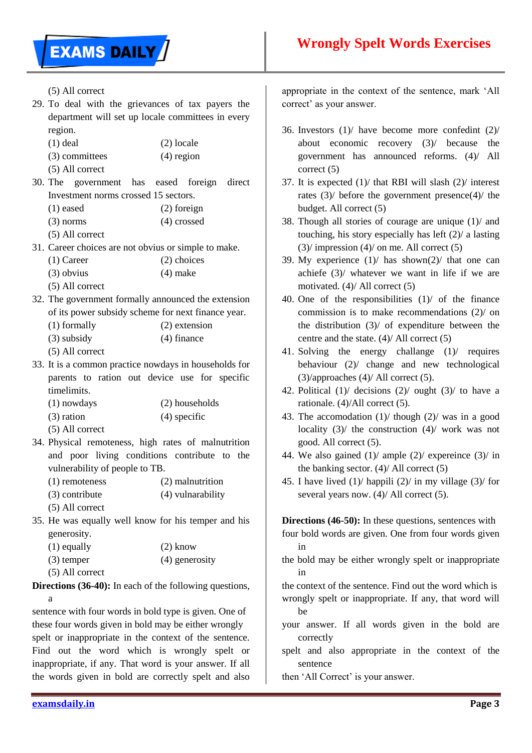

(5) All correct

- 29. To deal with the grievances of tax payers the department will set up locale committees in every region.
	- (1) deal (2) locale
	- (3) committees (4) region
	- (5) All correct
- 30. The government has eased foreign direct Investment norms crossed 15 sectors.
	- (1) eased (2) foreign
	- (3) norms (4) crossed
	- (5) All correct
- 31. Career choices are not obvius or simple to make.
	- (1) Career (2) choices
	- (3) obvius (4) make
	- (5) All correct
- 32. The government formally announced the extension of its power subsidy scheme for next finance year.
	- (1) formally (2) extension
	- (3) subsidy (4) finance
	- (5) All correct
- 33. It is a common practice nowdays in households for parents to ration out device use for specific timelimits.
	- (1) nowdays (2) households (3) ration (4) specific
	- (5) All correct
- 34. Physical remoteness, high rates of malnutrition and poor living conditions contribute to the vulnerability of people to TB.
	- (1) remoteness (2) malnutrition (3) contribute (4) vulnarability
	- (5) All correct
- 35. He was equally well know for his temper and his generosity.

| $(1)$ equally | $(2)$ know     |
|---------------|----------------|
| $(3)$ temper  | (4) generosity |

(5) All correct

**Directions (36-40):** In each of the following questions, a

sentence with four words in bold type is given. One of these four words given in bold may be either wrongly spelt or inappropriate in the context of the sentence. Find out the word which is wrongly spelt or inappropriate, if any. That word is your answer. If all the words given in bold are correctly spelt and also

appropriate in the context of the sentence, mark "All correct' as your answer.

- 36. Investors (1)/ have become more confedint (2)/ about economic recovery (3)/ because the government has announced reforms. (4)/ All correct (5)
- 37. It is expected (1)/ that RBI will slash (2)/ interest rates (3)/ before the government presence(4)/ the budget. All correct (5)
- 38. Though all stories of courage are unique (1)/ and touching, his story especially has left (2)/ a lasting  $(3)$  impression  $(4)$  on me. All correct  $(5)$
- 39. My experience  $(1)$  has shown $(2)$  that one can achiefe (3)/ whatever we want in life if we are motivated. (4)/ All correct (5)
- 40. One of the responsibilities (1)/ of the finance commission is to make recommendations (2)/ on the distribution (3)/ of expenditure between the centre and the state. (4)/ All correct (5)
- 41. Solving the energy challange (1)/ requires behaviour (2)/ change and new technological (3)/approaches (4)/ All correct (5).
- 42. Political  $(1)$  decisions  $(2)$  ought  $(3)$  to have a rationale. (4)/All correct (5).
- 43. The accomodation (1)/ though (2)/ was in a good locality (3)/ the construction (4)/ work was not good. All correct (5).
- 44. We also gained  $(1)$  ample  $(2)$  expereince  $(3)$  in the banking sector.  $(4)$  All correct  $(5)$
- 45. I have lived  $(1)$  happili  $(2)$  in my village  $(3)$  for several years now. (4)/ All correct (5).

**Directions (46-50):** In these questions, sentences with

- four bold words are given. One from four words given in
- the bold may be either wrongly spelt or inappropriate in

the context of the sentence. Find out the word which is wrongly spelt or inappropriate. If any, that word will

- be your answer. If all words given in the bold are correctly
- spelt and also appropriate in the context of the sentence
- then 'All Correct' is your answer.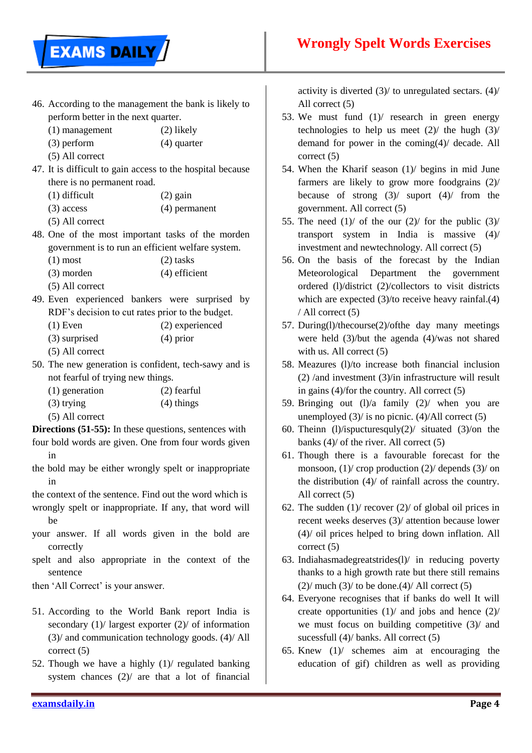

- 46. According to the management the bank is likely to perform better in the next quarter.
	- (1) management (2) likely
	- (3) perform (4) quarter
	- (5) All correct
- 47. It is difficult to gain access to the hospital because there is no permanent road.
	- $(1)$  difficult  $(2)$  gain
		- (3) access (4) permanent
		- (5) All correct
- 48. One of the most important tasks of the morden government is to run an efficient welfare system.
	- $(1)$  most  $(2)$  tasks
	- (3) morden (4) efficient
	- (5) All correct
- 49. Even experienced bankers were surprised by RDF"s decision to cut rates prior to the budget.
	- (1) Even (2) experienced
	- (3) surprised (4) prior
	- (5) All correct
- 50. The new generation is confident, tech-sawy and is not fearful of trying new things.
	- (1) generation (2) fearful  $(3)$  trying  $(4)$  things
	- (5) All correct
- **Directions (51-55):** In these questions, sentences with
- four bold words are given. One from four words given in
- the bold may be either wrongly spelt or inappropriate in
- the context of the sentence. Find out the word which is wrongly spelt or inappropriate. If any, that word will be
- your answer. If all words given in the bold are correctly
- spelt and also appropriate in the context of the sentence
- then 'All Correct' is your answer.
- 51. According to the World Bank report India is secondary (1)/ largest exporter (2)/ of information (3)/ and communication technology goods. (4)/ All correct (5)
- 52. Though we have a highly (1)/ regulated banking system chances (2)/ are that a lot of financial

activity is diverted (3)/ to unregulated sectars. (4)/ All correct (5)

- 53. We must fund (1)/ research in green energy technologies to help us meet  $(2)$  the hugh  $(3)$ demand for power in the coming(4)/ decade. All correct (5)
- 54. When the Kharif season (1)/ begins in mid June farmers are likely to grow more foodgrains (2)/ because of strong  $(3)$ / suport  $(4)$ / from the government. All correct (5)
- 55. The need  $(1)$  of the our  $(2)$  for the public  $(3)$ transport system in India is massive (4)/ investment and newtechnology. All correct (5)
- 56. On the basis of the forecast by the Indian Meteorological Department the government ordered (l)/district (2)/collectors to visit districts which are expected  $(3)/$  to receive heavy rainfal.(4) / All correct (5)
- 57. During(l)/thecourse(2)/ofthe day many meetings were held (3)/but the agenda (4)/was not shared with us. All correct  $(5)$
- 58. Meazures (l)/to increase both financial inclusion (2) /and investment (3)/in infrastructure will result in gains (4)/for the country. All correct (5)
- 59. Bringing out  $(1)/a$  family  $(2)/$  when you are unemployed  $(3)$  is no picnic.  $(4)$ /All correct  $(5)$
- 60. Theinn (1)/ispucturesquly(2)/ situated (3)/on the banks (4)/ of the river. All correct (5)
- 61. Though there is a favourable forecast for the monsoon,  $(1)$  crop production  $(2)$  depends  $(3)$  on the distribution (4)/ of rainfall across the country. All correct (5)
- 62. The sudden  $(1)$  recover  $(2)$  of global oil prices in recent weeks deserves (3)/ attention because lower (4)/ oil prices helped to bring down inflation. All correct (5)
- 63. Indiahasmadegreatstrides(l)/ in reducing poverty thanks to a high growth rate but there still remains  $(2)$ / much  $(3)$ / to be done. $(4)$ / All correct  $(5)$
- 64. Everyone recognises that if banks do well It will create opportunities (1)/ and jobs and hence (2)/ we must focus on building competitive (3)/ and sucessfull (4)/ banks. All correct (5)
- 65. Knew (1)/ schemes aim at encouraging the education of gif) children as well as providing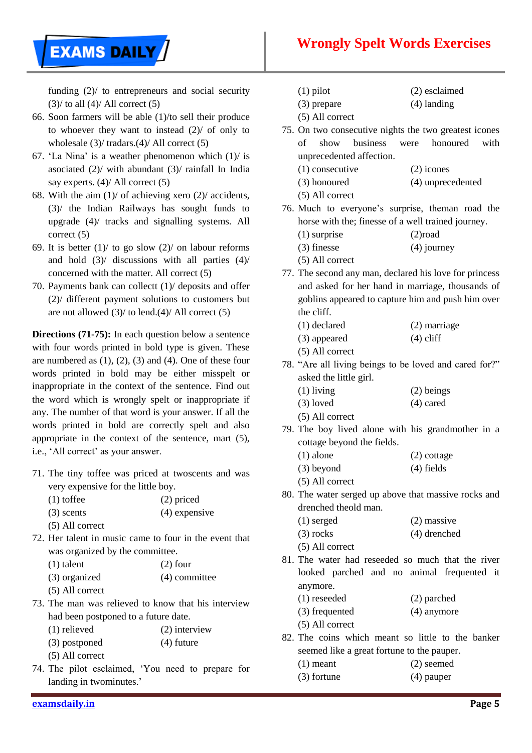

funding (2)/ to entrepreneurs and social security  $(3)$  to all  $(4)$  All correct  $(5)$ 

- 66. Soon farmers will be able (1)/to sell their produce to whoever they want to instead (2)/ of only to wholesale (3)/ tradars.(4)/ All correct (5)
- 67. 'La Nina' is a weather phenomenon which  $(1)$  is asociated (2)/ with abundant (3)/ rainfall In India say experts. (4)/ All correct (5)
- 68. With the aim  $(1)$  of achieving xero  $(2)$  accidents, (3)/ the Indian Railways has sought funds to upgrade (4)/ tracks and signalling systems. All correct (5)
- 69. It is better  $(1)$  to go slow  $(2)$  on labour reforms and hold (3)/ discussions with all parties (4)/ concerned with the matter. All correct (5)
- 70. Payments bank can collectt (1)/ deposits and offer (2)/ different payment solutions to customers but are not allowed  $(3)$  to lend. $(4)$  All correct  $(5)$

**Directions (71-75):** In each question below a sentence with four words printed in bold type is given. These are numbered as  $(1)$ ,  $(2)$ ,  $(3)$  and  $(4)$ . One of these four words printed in bold may be either misspelt or inappropriate in the context of the sentence. Find out the word which is wrongly spelt or inappropriate if any. The number of that word is your answer. If all the words printed in bold are correctly spelt and also appropriate in the context of the sentence, mart (5), i.e., 'All correct' as your answer.

- 71. The tiny toffee was priced at twoscents and was very expensive for the little boy.
	- (1) toffee (2) priced
	- (3) scents (4) expensive (5) All correct
- 72. Her talent in music came to four in the event that was organized by the committee.
	- $(1)$  talent  $(2)$  four (3) organized (4) committee
	- (5) All correct
- 73. The man was relieved to know that his interview had been postponed to a future date.
	- (1) relieved (2) interview
	- (3) postponed (4) future
	- (5) All correct
- 74. The pilot esclaimed, "You need to prepare for landing in twominutes.'
- (1) pilot (2) esclaimed
- (3) prepare (4) landing
- (5) All correct
- 75. On two consecutive nights the two greatest icones of show business were honoured with unprecedented affection. (1) consecutive (2) icones
	- (3) honoured (4) unprecedented
	- (5) All correct
- 76. Much to everyone"s surprise, theman road the horse with the; finesse of a well trained journey. (1) surprise (2)road
	- (3) finesse (4) journey
	- (5) All correct
- 77. The second any man, declared his love for princess and asked for her hand in marriage, thousands of goblins appeared to capture him and push him over the cliff.
	- (1) declared (2) marriage
	- (3) appeared (4) cliff
	- (5) All correct
- 78. "Are all living beings to be loved and cared for?" asked the little girl.
	- (1) living (2) beings
	- $(3)$  loved  $(4)$  cared
	- (5) All correct
- 79. The boy lived alone with his grandmother in a cottage beyond the fields.
	- (1) alone (2) cottage
	- (3) beyond (4) fields
	- (5) All correct
- 80. The water serged up above that massive rocks and drenched theold man.
	- (1) serged (2) massive
	- (3) rocks (4) drenched
- (5) All correct 81. The water had reseeded so much that the river looked parched and no animal frequented it anymore.
	- (1) reseeded (2) parched
	- (3) frequented (4) anymore
	- (5) All correct
- 82. The coins which meant so little to the banker seemed like a great fortune to the pauper.
	- (1) meant (2) seemed
	- (3) fortune (4) pauper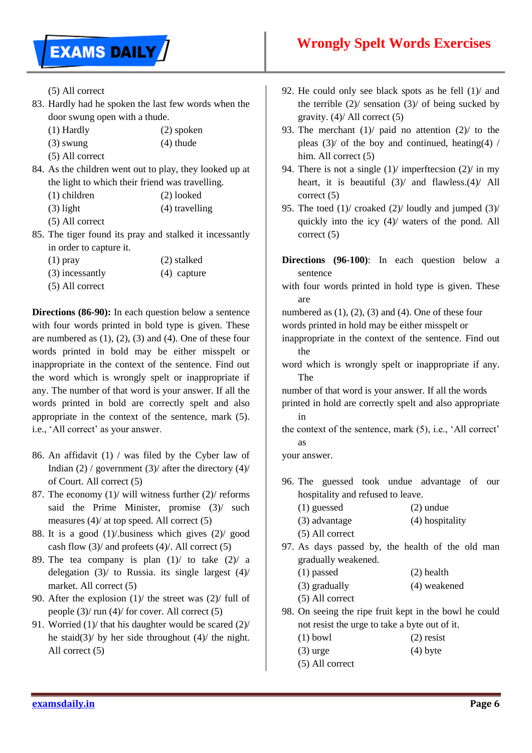

(5) All correct

- 83. Hardly had he spoken the last few words when the door swung open with a thude.
	- (1) Hardly (2) spoken
	- $(3)$  swung  $(4)$  thude
	- (5) All correct
- 84. As the children went out to play, they looked up at the light to which their friend was travelling.
	- (1) children (2) looked
	- (3) light (4) travelling
	- (5) All correct
- 85. The tiger found its pray and stalked it incessantly in order to capture it.

| $(1)$ pray        | (2) stalked   |
|-------------------|---------------|
| (3) incessantly   | $(4)$ capture |
| $(5)$ All correct |               |

**Directions (86-90):** In each question below a sentence with four words printed in bold type is given. These are numbered as (1), (2), (3) and (4). One of these four words printed in bold may be either misspelt or inappropriate in the context of the sentence. Find out the word which is wrongly spelt or inappropriate if any. The number of that word is your answer. If all the words printed in bold are correctly spelt and also appropriate in the context of the sentence, mark (5). i.e., 'All correct' as your answer.

- 86. An affidavit (1) / was filed by the Cyber law of Indian  $(2)$  / government  $(3)$  after the directory  $(4)$ of Court. All correct (5)
- 87. The economy  $(1)$  will witness further  $(2)$  reforms said the Prime Minister, promise (3)/ such measures (4)/ at top speed. All correct (5)
- 88. It is a good (1)/.business which gives (2)/ good cash flow  $(3)$  and profeets  $(4)$ . All correct  $(5)$
- 89. The tea company is plan  $(1)$  to take  $(2)$  a delegation  $(3)$  to Russia. its single largest  $(4)$ market. All correct (5)
- 90. After the explosion  $(1)$  the street was  $(2)$  full of people (3)/ run (4)/ for cover. All correct (5)
- 91. Worried (1)/ that his daughter would be scared (2)/ he staid(3)/ by her side throughout  $(4)$ / the night. All correct (5)
- 92. He could only see black spots as he fell  $(1)$  and the terrible  $(2)$ / sensation  $(3)$ / of being sucked by gravity. (4)/ All correct (5)
- 93. The merchant (1)/ paid no attention (2)/ to the pleas  $(3)$  of the boy and continued, heating(4) / him. All correct (5)
- 94. There is not a single  $(1)$  imperftecsion  $(2)$  in my heart, it is beautiful  $(3)$  and flawless.(4) All correct (5)
- 95. The toed (1)/ croaked (2)/ loudly and jumped (3)/ quickly into the icy (4)/ waters of the pond. All correct (5)
- **Directions (96-100)**: In each question below a sentence
- with four words printed in hold type is given. These are

numbered as  $(1)$ ,  $(2)$ ,  $(3)$  and  $(4)$ . One of these four words printed in hold may be either misspelt or

inappropriate in the context of the sentence. Find out the

word which is wrongly spelt or inappropriate if any. The

number of that word is your answer. If all the words printed in hold are correctly spelt and also appropriate in

the context of the sentence, mark (5), i.e., "All correct" as

your answer.

- 96. The guessed took undue advantage of our hospitality and refused to leave.
	- (1) guessed (2) undue
	- (3) advantage (4) hospitality
	- (5) All correct
- 97. As days passed by, the health of the old man gradually weakened.
	- (1) passed (2) health
	- (3) gradually (4) weakened
	- (5) All correct
- 98. On seeing the ripe fruit kept in the bowl he could not resist the urge to take a byte out of it.
	- $(1)$  bowl  $(2)$  resist
	- $(3)$  urge  $(4)$  byte
	- (5) All correct